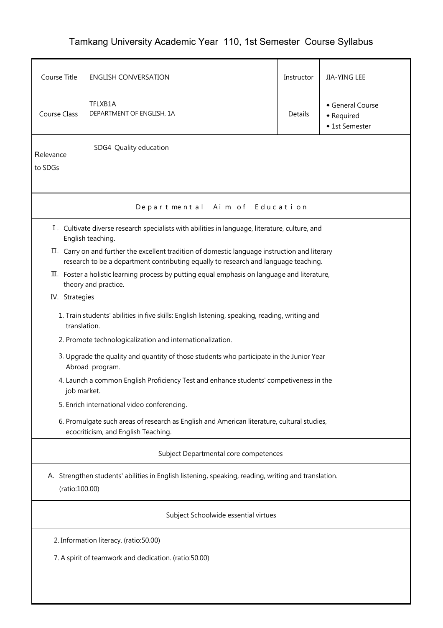## Tamkang University Academic Year 110, 1st Semester Course Syllabus

| Course Title                                                                                                                                                                          | <b>ENGLISH CONVERSATION</b>                                                                                                       | Instructor                                                        | JIA-YING LEE |  |  |  |  |  |
|---------------------------------------------------------------------------------------------------------------------------------------------------------------------------------------|-----------------------------------------------------------------------------------------------------------------------------------|-------------------------------------------------------------------|--------------|--|--|--|--|--|
| Course Class                                                                                                                                                                          | TFLXB1A<br>DEPARTMENT OF ENGLISH, 1A                                                                                              | General Course<br>Details<br>$\bullet$ Required<br>◆ 1st Semester |              |  |  |  |  |  |
| Relevance<br>to SDGs                                                                                                                                                                  | SDG4 Quality education                                                                                                            |                                                                   |              |  |  |  |  |  |
| Departmental Aim of Education                                                                                                                                                         |                                                                                                                                   |                                                                   |              |  |  |  |  |  |
| I. Cultivate diverse research specialists with abilities in language, literature, culture, and<br>English teaching.                                                                   |                                                                                                                                   |                                                                   |              |  |  |  |  |  |
| II. Carry on and further the excellent tradition of domestic language instruction and literary<br>research to be a department contributing equally to research and language teaching. |                                                                                                                                   |                                                                   |              |  |  |  |  |  |
|                                                                                                                                                                                       | III. Foster a holistic learning process by putting equal emphasis on language and literature,<br>theory and practice.             |                                                                   |              |  |  |  |  |  |
| IV. Strategies                                                                                                                                                                        |                                                                                                                                   |                                                                   |              |  |  |  |  |  |
|                                                                                                                                                                                       | 1. Train students' abilities in five skills: English listening, speaking, reading, writing and<br>translation.                    |                                                                   |              |  |  |  |  |  |
|                                                                                                                                                                                       | 2. Promote technologicalization and internationalization.                                                                         |                                                                   |              |  |  |  |  |  |
|                                                                                                                                                                                       | 3. Upgrade the quality and quantity of those students who participate in the Junior Year<br>Abroad program.                       |                                                                   |              |  |  |  |  |  |
|                                                                                                                                                                                       | 4. Launch a common English Proficiency Test and enhance students' competiveness in the<br>job market.                             |                                                                   |              |  |  |  |  |  |
|                                                                                                                                                                                       | 5. Enrich international video conferencing.                                                                                       |                                                                   |              |  |  |  |  |  |
|                                                                                                                                                                                       | 6. Promulgate such areas of research as English and American literature, cultural studies,<br>ecocriticism, and English Teaching. |                                                                   |              |  |  |  |  |  |
|                                                                                                                                                                                       | Subject Departmental core competences                                                                                             |                                                                   |              |  |  |  |  |  |
| A. Strengthen students' abilities in English listening, speaking, reading, writing and translation.<br>(ratio:100.00)                                                                 |                                                                                                                                   |                                                                   |              |  |  |  |  |  |
| Subject Schoolwide essential virtues                                                                                                                                                  |                                                                                                                                   |                                                                   |              |  |  |  |  |  |
| 2. Information literacy. (ratio:50.00)                                                                                                                                                |                                                                                                                                   |                                                                   |              |  |  |  |  |  |
| 7. A spirit of teamwork and dedication. (ratio:50.00)                                                                                                                                 |                                                                                                                                   |                                                                   |              |  |  |  |  |  |
|                                                                                                                                                                                       |                                                                                                                                   |                                                                   |              |  |  |  |  |  |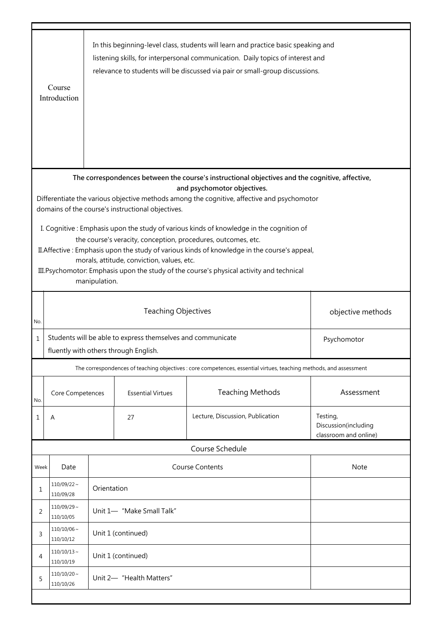|                                                                                                                                                          | Course<br>Introduction                |                                                 |                                                                            | In this beginning-level class, students will learn and practice basic speaking and<br>listening skills, for interpersonal communication. Daily topics of interest and<br>relevance to students will be discussed via pair or small-group discussions. |                                                           |  |  |  |
|----------------------------------------------------------------------------------------------------------------------------------------------------------|---------------------------------------|-------------------------------------------------|----------------------------------------------------------------------------|-------------------------------------------------------------------------------------------------------------------------------------------------------------------------------------------------------------------------------------------------------|-----------------------------------------------------------|--|--|--|
| The correspondences between the course's instructional objectives and the cognitive, affective,                                                          |                                       |                                                 |                                                                            |                                                                                                                                                                                                                                                       |                                                           |  |  |  |
| and psychomotor objectives.                                                                                                                              |                                       |                                                 |                                                                            |                                                                                                                                                                                                                                                       |                                                           |  |  |  |
| Differentiate the various objective methods among the cognitive, affective and psychomotor<br>domains of the course's instructional objectives.          |                                       |                                                 |                                                                            |                                                                                                                                                                                                                                                       |                                                           |  |  |  |
|                                                                                                                                                          |                                       |                                                 |                                                                            |                                                                                                                                                                                                                                                       |                                                           |  |  |  |
| I. Cognitive: Emphasis upon the study of various kinds of knowledge in the cognition of<br>the course's veracity, conception, procedures, outcomes, etc. |                                       |                                                 |                                                                            |                                                                                                                                                                                                                                                       |                                                           |  |  |  |
|                                                                                                                                                          |                                       |                                                 |                                                                            | II. Affective: Emphasis upon the study of various kinds of knowledge in the course's appeal,                                                                                                                                                          |                                                           |  |  |  |
|                                                                                                                                                          |                                       |                                                 | morals, attitude, conviction, values, etc.                                 |                                                                                                                                                                                                                                                       |                                                           |  |  |  |
|                                                                                                                                                          |                                       | manipulation.                                   |                                                                            | III. Psychomotor: Emphasis upon the study of the course's physical activity and technical                                                                                                                                                             |                                                           |  |  |  |
|                                                                                                                                                          |                                       |                                                 |                                                                            |                                                                                                                                                                                                                                                       |                                                           |  |  |  |
|                                                                                                                                                          |                                       | <b>Teaching Objectives</b><br>objective methods |                                                                            |                                                                                                                                                                                                                                                       |                                                           |  |  |  |
| No.                                                                                                                                                      |                                       |                                                 |                                                                            |                                                                                                                                                                                                                                                       |                                                           |  |  |  |
| $\mathbf 1$                                                                                                                                              |                                       |                                                 | Students will be able to express themselves and communicate<br>Psychomotor |                                                                                                                                                                                                                                                       |                                                           |  |  |  |
|                                                                                                                                                          | fluently with others through English. |                                                 |                                                                            |                                                                                                                                                                                                                                                       |                                                           |  |  |  |
|                                                                                                                                                          |                                       |                                                 |                                                                            | The correspondences of teaching objectives : core competences, essential virtues, teaching methods, and assessment                                                                                                                                    |                                                           |  |  |  |
| No.                                                                                                                                                      | Core Competences                      |                                                 | <b>Essential Virtues</b>                                                   | <b>Teaching Methods</b>                                                                                                                                                                                                                               | Assessment                                                |  |  |  |
| 1                                                                                                                                                        | A                                     |                                                 | 27                                                                         | Lecture, Discussion, Publication                                                                                                                                                                                                                      | Testing,<br>Discussion(including<br>classroom and online) |  |  |  |
|                                                                                                                                                          |                                       |                                                 |                                                                            | Course Schedule                                                                                                                                                                                                                                       |                                                           |  |  |  |
| Week                                                                                                                                                     | Date                                  |                                                 |                                                                            | <b>Course Contents</b>                                                                                                                                                                                                                                | <b>Note</b>                                               |  |  |  |
| 1                                                                                                                                                        | $110/09/22$ ~<br>110/09/28            | Orientation                                     |                                                                            |                                                                                                                                                                                                                                                       |                                                           |  |  |  |
| 2                                                                                                                                                        | $110/09/29$ ~<br>110/10/05            | Unit 1- "Make Small Talk"                       |                                                                            |                                                                                                                                                                                                                                                       |                                                           |  |  |  |
| 3                                                                                                                                                        | $110/10/06$ ~<br>110/10/12            | Unit 1 (continued)                              |                                                                            |                                                                                                                                                                                                                                                       |                                                           |  |  |  |
| 4                                                                                                                                                        | $110/10/13$ ~<br>110/10/19            | Unit 1 (continued)                              |                                                                            |                                                                                                                                                                                                                                                       |                                                           |  |  |  |
| 5                                                                                                                                                        | $110/10/20$ ~<br>110/10/26            | Unit 2- "Health Matters"                        |                                                                            |                                                                                                                                                                                                                                                       |                                                           |  |  |  |
|                                                                                                                                                          |                                       |                                                 |                                                                            |                                                                                                                                                                                                                                                       |                                                           |  |  |  |